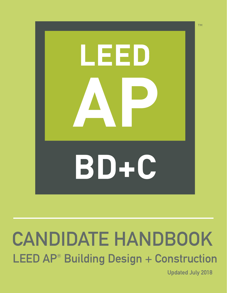

# LEED AP<sup>®</sup> Building Design + Construction CANDIDATE HANDBOOK

Updated July 2018

TM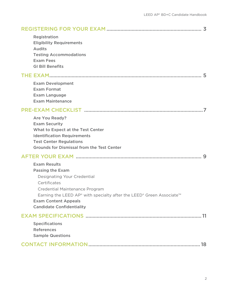| Registration<br><b>Eligibility Requirements</b><br><b>Audits</b><br><b>Testing Accommodations</b><br><b>Exam Fees</b><br><b>GI Bill Benefits</b>                                                                                       |  |
|----------------------------------------------------------------------------------------------------------------------------------------------------------------------------------------------------------------------------------------|--|
|                                                                                                                                                                                                                                        |  |
| <b>Exam Development</b><br><b>Exam Format</b><br><b>Exam Language</b><br><b>Exam Maintenance</b>                                                                                                                                       |  |
|                                                                                                                                                                                                                                        |  |
| <b>Are You Ready?</b><br><b>Exam Security</b><br><b>What to Expect at the Test Center</b><br><b>Identification Requirements</b><br><b>Test Center Regulations</b><br><b>Grounds for Dismissal from the Test Center</b>                 |  |
|                                                                                                                                                                                                                                        |  |
| <b>Exam Results</b><br><b>Passing the Exam</b><br>Designating Your Credential<br>Certificates<br>Credential Maintenance Program<br>Earning the LEED AP® with specialty after the LEED® Green Associate™<br><b>Exam Content Appeals</b> |  |
| <b>Candidate Confidentiality</b>                                                                                                                                                                                                       |  |
| <b>Specifications</b><br><b>References</b><br><b>Sample Questions</b>                                                                                                                                                                  |  |
|                                                                                                                                                                                                                                        |  |
|                                                                                                                                                                                                                                        |  |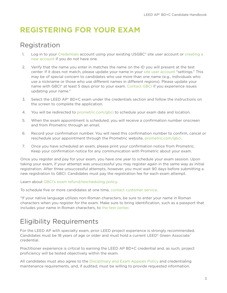## <span id="page-2-0"></span>**REGISTERING FOR YOUR EXAM**

## <span id="page-2-1"></span>Registration

- 1. Log in to your [Credentials](www.usgbc.org/account/credentials) account using your existing USGBC® site user account or creating a [new account](http://www.usgbc.org/registration/create-user) if you do not have one.
- 2. Verify that the name you enter in matches the name on the ID you will present at the test center. If it does not match, please update your name in your [site user account](http://usgbc.org/account/credentials) "settings." This may be of special concern to candidates who use more than one name (e.g., individuals who use a nickname or those who use different names in different regions). Please update your name with GBCI® at least 5 days prior to your exam. [Contact GBCI](http://gbci.org/contact) if you experience issues updating your name.\*
- 3. Select the LEED AP® BD+C exam under the credentials section and follow the instructions on the screen to complete the application.
- 4. You will be redirected to [prometric.com/gbci](http://prometric.com/gbci) to schedule your exam date and location.
- 5. When the exam appointment is scheduled, you will receive a confirmation number onscreen and from Prometric through an email.
- 6. Record your confirmation number. You will need this confirmation number to confirm, cancel or reschedule your appointment through the Prometric website, [prometric.com/gbci.](http://prometric.com/gbci)
- 7. Once you have scheduled an exam, please print your confirmation notice from Prometric. Keep your confirmation notice for any communication with Prometric about your exam.

Once you register and pay for your exam, you have one year to schedule your exam session. Upon taking your exam, if your attempt was unsuccessful you may register again in the same way as initial registration. After three unsuccessful attempts, however, you must wait 90 days before submitting a new registration to GBCI. Candidates must pay the registration fee for each exam attempt.

Learn about [GBCI's exam refund/rescheduling policy.](http://www.usgbc.org/help/can-leed-ap-exam-be-cancelled-and-refunded)

To schedule five or more candidates at one time, [contact customer service.](http://gbci.org/contact)

\*If your native language utilizes non-Roman characters, be sure to enter your name in Roman characters when you register for the exam. Make sure to bring identification, such as a passport that includes your name in Roman characters, to [the test center.](#page-6-0)

## <span id="page-2-2"></span>Eligibility Requirements

For the LEED AP with specialty exam, prior LEED project experience is strongly recommended. Candidates must be 18 years of age or older and must hold a current LEED® Green Associate™ credential.

Practitioner experience is critical to earning the LEED AP BD+C credential and, as such, project proficiency will be tested objectively within the exam.

All candidates must also agree to the [Disciplinary and Exam Appeals Policy](http://www.gbci.org/gbci-disciplinary-and-exam-appeals-policy) and credentialing maintenance requirements, and, if audited, must be willing to provide requested information.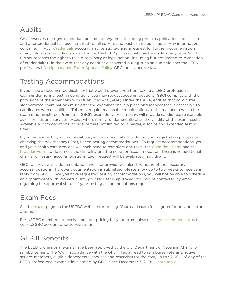## <span id="page-3-0"></span>Audits

GBCI reserves the right to conduct an audit at any time (including prior to application submission and after credential has been granted) of all current and past exam applications. Any information contained in your [Credentials](http://www.usgbc.org/account/credentials) account may be audited and a request for further documentation of any information or claims submitted by the LEED professional may be made at any time. GBCI further reserves the right to take disciplinary or legal action—including but not limited to revocation of credential(s)—in the event that any conduct discovered during such an audit violates the LEED professional [Disciplinary and Exam Appeals Policy](http://www.gbci.org/gbci-disciplinary-and-exam-appeals-policy), GBCI policy and/or law.

## <span id="page-3-1"></span>Testing Accommodations

If you have a documented disability that would prevent you from taking a LEED professional exam under normal testing conditions, you may request accommodations. GBCI complies with the provisions of the Americans with Disabilities Act (ADA). Under the ADA, entities that administer standardized examinations must offer the examinations in a place and manner that is accessible to candidates with disabilities. This may require reasonable modifications to the manner in which the exam is administered. Prometric, GBCI's exam delivery company, will provide candidates reasonable auxiliary aids and services, except where it may fundamentally alter the validity of the exam results. Available accommodations include, but are not limited to, a reader, a scribe and extended testing time.

If you require testing accommodations, you must indicate this during your registration process by checking the box that says "Yes, I need testing accommodations." To request accommodations, you and your health care provider will each need to complete one form, the [Candidate Form](http://www.gbci.org/candidate-form) and the [Provider Form](http://www.gbci.org/provider-form), to document the disability and the need for accommodation. There is no additional charge for testing accommodations. Each request will be evaluated individually.

GBCI will review this documentation and, if approved, will alert Prometric of the necessary accommodations. If proper documentation is submitted, please allow up to two weeks to receive a reply from GBCI. Once you have requested testing accommodations, you will not be able to schedule an appointment with Prometric until your request is approved. You will be contacted by email regarding the approval status of your testing accommodations request.

## <span id="page-3-2"></span>Exam Fees

See the [exam](http://www.usgbc.org/credentials/leed-ap/exam) page on the USGBC website for pricing. Your paid exam fee is good for only one exam attempt.

For USGBC members to receive member pricing for your exam, please [link your member status](http://www.usgbc.org/help/how-do-i-add-employees-member-account) to your USGBC account prior to registration.

## <span id="page-3-3"></span>GI Bill Benefits

The LEED professional exams have been approved by the U.S. Department of Veterans Affairs for reimbursement. The VA, in accordance with the GI Bill, has agreed to reimburse veterans, active service members, eligible dependents, spouses and reservists for the cost, up to \$2,000, of any of the LEED professional exams administered by GBCI since December 3, 2009. [Learn more.](https://www.usgbc.org/articles/leed-credential-exams-eligible-reimbursement-under-gi-bill)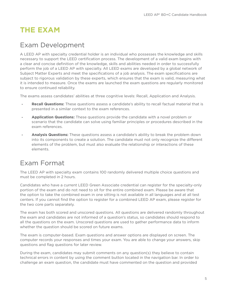## <span id="page-4-0"></span>**THE EXAM**

### <span id="page-4-1"></span>Exam Development

A LEED AP with specialty credential holder is an individual who possesses the knowledge and skills necessary to support the LEED certification process. The development of a valid exam begins with a clear and concise definition of the knowledge, skills and abilities needed in order to successfully perform the job of a LEED AP with specialty. All LEED exams are developed by a global network of Subject Matter Experts and meet the specifications of a job analysis. The exam specifications are subject to rigorous validation by these experts, which ensures that the exam is valid, measuring what it is intended to measure. Once the exams are launched the exam questions are regularly monitored to ensure continued reliability.

The exams assess candidates' abilities at three cognitive levels: Recall, Application and Analysis.

- **Recall Questions:** These questions assess a candidate's ability to recall factual material that is presented in a similar context to the exam references.
- **Application Questions:** These questions provide the candidate with a novel problem or scenario that the candidate can solve using familiar principles or procedures described in the exam references.
- **Analysis Questions:** These questions assess a candidate's ability to break the problem down into its components to create a solution. The candidate must not only recognize the different elements of the problem, but must also evaluate the relationship or interactions of these elements.

## <span id="page-4-2"></span>Exam Format

The LEED AP with specialty exam contains 100 randomly delivered multiple choice questions and must be completed in 2 hours.

Candidates who have a current LEED Green Associate credential can register for the specialty-only portion of the exam and do not need to sit for the entire combined exam. Please be aware that the option to take the combined exam in one sitting is not available in all languages and at all test centers. If you cannot find the option to register for a combined LEED AP exam, please register for the two core parts separately.

The exam has both scored and unscored questions. All questions are delivered randomly throughout the exam and candidates are not informed of a question's status, so candidates should respond to all the questions on the exam. Unscored questions are used to gather performance data to inform whether the question should be scored on future exams.

The exam is computer-based. Exam questions and answer options are displayed on screen. The computer records your responses and times your exam. You are able to change your answers, skip questions and flag questions for later review.

During the exam, candidates may submit comments on any question(s) they believe to contain technical errors in content by using the comment button located in the navigation bar. In order to challenge an exam question, the candidate must have commented on the question and provided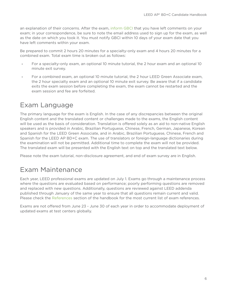an explanation of their concerns. After the exam, [inform GBCI](http://www.gbci.org/contact) that you have left comments on your exam; in your correspondence, be sure to note the email address used to sign up for the exam, as well as the date on which you took it. You must notify GBCI within 10 days of your exam date that you have left comments within your exam.

Be prepared to commit 2 hours 20 minutes for a specialty-only exam and 4 hours 20 minutes for a combined exam. Total exam time is broken out as follows:

- For a specialty-only exam, an optional 10 minute tutorial, the 2 hour exam and an optional 10 minute exit survey.
- For a combined exam, an optional 10 minute tutorial, the 2 hour LEED Green Associate exam, the 2 hour specialty exam and an optional 10 minute exit survey. Be aware that if a candidate exits the exam session before completing the exam, the exam cannot be restarted and the exam session and fee are forfeited.

## <span id="page-5-0"></span>Exam Language

The primary language for the exam is English. In the case of any discrepancies between the original English content and the translated content or challenges made to the exams, the English content will be used as the basis of consideration. Translation is offered solely as an aid to non-native English speakers and is provided in Arabic, Brazilian Portuguese, Chinese, French, German, Japanese, Korean and Spanish for the LEED Green Associate, and in Arabic, Brazilian Portuguese, Chinese, French and Spanish for the LEED AP BD+C exam. The use of translators or foreign-language dictionaries during the examination will not be permitted. Additional time to complete the exam will not be provided. The translated exam will be presented with the English text on top and the translated text below.

Please note the exam tutorial, non-disclosure agreement, and end of exam survey are in English.

## <span id="page-5-1"></span>Exam Maintenance

Each year, LEED professional exams are updated on July 1. Exams go through a maintenance process where the questions are evaluated based on performance; poorly performing questions are removed and replaced with new questions. Additionally, questions are reviewed against LEED addenda published through January of the same year to ensure that all questions remain current and valid. Please check the [References](#page-15-1) section of the handbook for the most current list of exam references.

Exams are not offered from June 23 - June 30 of each year in order to accommodate deployment of updated exams at test centers globally.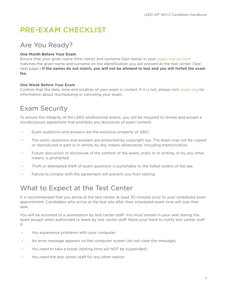## <span id="page-6-0"></span>**PRE-EXAM CHECKLIST**

## <span id="page-6-1"></span>Are You Ready?

### **One Month Before Your Exam**

Ensure that your given name (first name) and surname (last name) in your [usgbc.org account](http://www.usgbc.org/account/credentials)  matches the given name and surname on the identification you will present at the test center. (See next page.) **If the names do not match, you will not be allowed to test and you will forfeit the exam fee.** 

### **One Week Before Your Exam**

Confirm that the date, time and location of your exam is correct. If it is not, please visit [usgbc.org](http://www.usgbc.org/help/can-leed-ap-exam-be-cancelled-and-refunded) for information about rescheduling or canceling your exam.

## <span id="page-6-2"></span>Exam Security

To ensure the integrity of the LEED professional exams, you will be required to review and accept a nondisclosure agreement that prohibits any disclosure of exam content:

- Exam questions and answers are the exclusive property of GBCI.
- The exam, questions and answers are protected by copyright law. The exam may not be copied or reproduced in part or in whole, by any means whatsoever, including memorization.
- Future discussion or disclosure of the content of the exam, orally or in writing, or by any other means, is prohibited.
- Theft or attempted theft of exam questions is punishable to the fullest extent of the law.
- Failure to comply with the agreement will prevent you from testing.

## <span id="page-6-3"></span>What to Expect at the Test Center

It is recommended that you arrive at the test center at least 30 minutes prior to your scheduled exam appointment. Candidates who arrive at the test site after their scheduled exam time will lose their seat.

You will be escorted to a workstation by test center staff. You must remain in your seat during the exam except when authorized to leave by test center staff. Raise your hand to notify test center staff if:

- You experience problems with your computer
- An error message appears on the computer screen (do not clear the message)
- You need to take a break (testing time will NOT be suspended)
- You need the test center staff for any other reason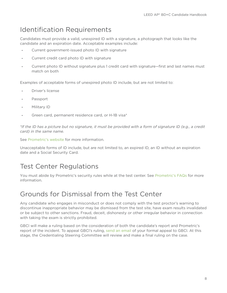## <span id="page-7-0"></span>Identification Requirements

Candidates must provide a valid, unexpired ID with a signature, a photograph that looks like the candidate and an expiration date. Acceptable examples include:

- Current government-issued photo ID with signature
- Current credit card photo ID with signature
- Current photo ID without signature plus 1 credit card with signature—first and last names must match on both

Examples of acceptable forms of unexpired photo ID include, but are not limited to:

- Driver's license
- Passport
- Military ID
- Green card, permanent residence card, or H-1B visa\*

*\*If the ID has a picture but no signature, it must be provided with a form of signature ID (e.g., a credit card) in the same name.*

See [Prometric's website](https://www.prometric.com/en-us/for-test-takers/prepare-for-test-day/pages/what-to-expect.aspx) for more information.

Unacceptable forms of ID include, but are not limited to, an expired ID, an ID without an expiration date and a Social Security Card.

## <span id="page-7-1"></span>Test Center Regulations

You must abide by Prometric's security rules while at the test center. See [Prometric's FAQs](https://www.prometric.com/en-us/for-test-takers/Prepare-for-Test-Day/frequently-asked-questions/Pages/default.aspx) for more information.

## <span id="page-7-2"></span>Grounds for Dismissal from the Test Center

Any candidate who engages in misconduct or does not comply with the test proctor's warning to discontinue inappropriate behavior may be dismissed from the test site, have exam results invalidated or be subject to other sanctions. Fraud, deceit, dishonesty or other irregular behavior in connection with taking the exam is strictly prohibited.

GBCI will make a ruling based on the consideration of both the candidate's report and Prometric's report of the incident. To appeal GBCI's ruling, [send an email](mailto:exam@gbci.org) of your formal appeal to GBCI. At this stage, the Credentialing Steering Committee will review and make a final ruling on the case.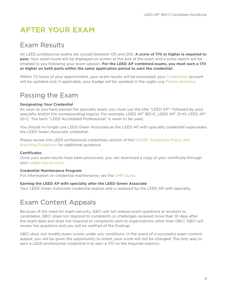## <span id="page-8-0"></span>**AFTER YOUR EXAM**

### <span id="page-8-1"></span>Exam Results

All LEED professional exams are scored between 125 and 200. **A score of 170 or higher is required to pass.** Your exam score will be displayed on screen at the end of the exam and a score report will be emailed to you following your exam session. **For the LEED AP combined exams, you must earn a 170 or higher on both parts within the same application period to earn the credential.**

Within 72 hours of your appointment, your exam results will be processed, your [Credentials](http://www.usgbc.org/account/credent) account will be updated and, if applicable, your badge will be updated in the usgbc.org [People directory.](http://www.usgbc.org/people)

## <span id="page-8-2"></span>Passing the Exam

### <span id="page-8-3"></span>**Designating Your Credential**

As soon as you have passed the specialty exam, you must use the title "LEED AP®" followed by your specialty and/or the corresponding logo(s). For example: LEED AP® BD+C, LEED AP® O+M, LEED AP® ID+C. The term "LEED Accredited Professional" is never to be used.

You should no longer use LEED Green Associate as the LEED AP with specialty credential supersedes the LEED Green Associate credential.

Please review the LEED professional credentials section of the [USGBC Trademark Policy and](http://www.usgbc.org/resources/usgbc-trademark-policy-and-branding-guidelines)  [Branding Guidelines](http://www.usgbc.org/resources/usgbc-trademark-policy-and-branding-guidelines) for additional guidance.

### <span id="page-8-4"></span>**Certificates**

Once your exam results have been processed, you can download a copy of your certificate through your [usgbc.org account](http://www.usgbc.org/account/credentials).

### <span id="page-8-5"></span>**Credential Maintenance Program**

For information on credential maintenance, see the [CMP Guide.](http://www.usgbc.org/resources/cmp-guide)

### <span id="page-8-6"></span>**Earning the LEED AP with specialty after the LEED Green Associate**

Your LEED Green Associate credential expires and is replaced by the LEED AP with specialty.

## <span id="page-8-7"></span>Exam Content Appeals

Because of the need for exam security, GBCI will not release exam questions or answers to candidates. GBCI does not respond to complaints or challenges received more than 10 days after the exam date and does not respond to complaints sent to organizations other than GBCI. GBCI will review the questions and you will be notified of the findings.

GBCI does not modify exam scores under any conditions. In the event of a successful exam content appeal, you will be given the opportunity to retest; your score will not be changed. The only way to earn a LEED professional credential is to earn a 170 on the required exam(s).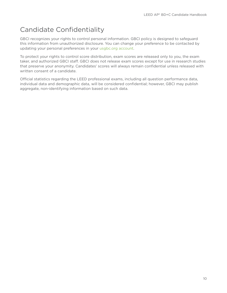## <span id="page-9-0"></span>Candidate Confidentiality

GBCI recognizes your rights to control personal information. GBCI policy is designed to safeguard this information from unauthorized disclosure. You can change your preference to be contacted by updating your personal preferences in your [usgbc.org account.](http://www.usgbc.org/legacy/account/subscriptions)

To protect your rights to control score distribution, exam scores are released only to you, the exam taker, and authorized GBCI staff. GBCI does not release exam scores except for use in research studies that preserve your anonymity. Candidates' scores will always remain confidential unless released with written consent of a candidate.

Official statistics regarding the LEED professional exams, including all question performance data, individual data and demographic data, will be considered confidential; however, GBCI may publish aggregate, non-identifying information based on such data.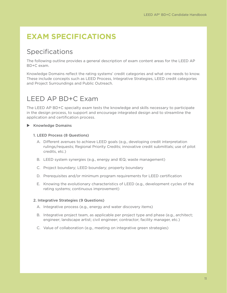## <span id="page-10-0"></span>**EXAM SPECIFICATIONS**

## <span id="page-10-1"></span>Specifications

The following outline provides a general description of exam content areas for the LEED AP BD+C exam.

Knowledge Domains reflect the rating systems' credit categories and what one needs to know. These include concepts such as LEED Process, Integrative Strategies, LEED credit categories and Project Surroundings and Public Outreach.

## LEED AP BD+C Exam

The LEED AP BD+C specialty exam tests the knowledge and skills necessary to participate in the design process, to support and encourage integrated design and to streamline the application and certification process.

### $\blacktriangleright$  Knowledge Domains

### 1. LEED Process (8 Questions)

- A. Different avenues to achieve LEED goals (e.g., developing credit interpretation rulings/requests; Regional Priority Credits; innovative credit submittals; use of pilot credits, etc.)
- B. LEED system synergies (e.g., energy and IEQ; waste management)
- C. Project boundary; LEED boundary; property boundary
- D. Prerequisites and/or minimum program requirements for LEED certification
- E. Knowing the evolutionary characteristics of LEED (e.g., development cycles of the rating systems; continuous improvement)

### 2. Integrative Strategies (9 Questions)

- A. Integrative process (e.g., energy and water discovery items)
- B. Integrative project team, as applicable per project type and phase (e.g., architect; engineer; landscape artist; civil engineer; contractor; facility manager, etc.)
- C. Value of collaboration (e.g., meeting on integrative green strategies)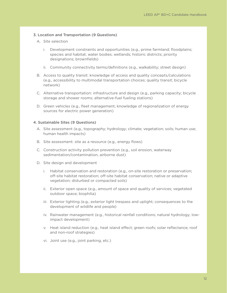### 3. Location and Transportation (9 Questions)

- A. Site selection
	- i. Development constraints and opportunities (e.g., prime farmland; floodplains; species and habitat; water bodies; wetlands; historic districts; priority designations; brownfields)
	- ii. Community connectivity terms/definitions (e.g., walkability; street design)
- B. Access to quality transit: knowledge of access and quality concepts/calculations (e.g., accessibility to multimodal transportation choices; quality transit; bicycle network)
- C. Alternative transportation: infrastructure and design (e.g., parking capacity; bicycle storage and shower rooms; alternative-fuel fueling stations)
- D. Green vehicles (e.g., fleet management; knowledge of regionalization of energy sources for electric power generation)

### 4. Sustainable Sites (9 Questions)

- A. Site assessment (e.g., topography; hydrology; climate; vegetation; soils; human use; human health impacts)
- B. Site assessment: site as a resource (e.g., energy flows)
- C. Construction activity pollution prevention (e.g., soil erosion, waterway sedimentation/contamination, airborne dust)
- D. Site design and development
	- i. Habitat conservation and restoration (e.g., on-site restoration or preservation; off-site habitat restoration; off-site habitat conservation; native or adaptive vegetation; disturbed or compacted soils)
	- ii. Exterior open space (e.g., amount of space and quality of services; vegetated outdoor space; biophilia)
	- iii. Exterior lighting (e.g., exterior light trespass and uplight; consequences to the development of wildlife and people)
	- iv. Rainwater management (e.g., historical rainfall conditions; natural hydrology; lowimpact development)
	- v. Heat island reduction (e.g., heat island effect; green roofs; solar reflectance; roof and non-roof strategies)
	- vi. Joint use (e.g., joint parking, etc.)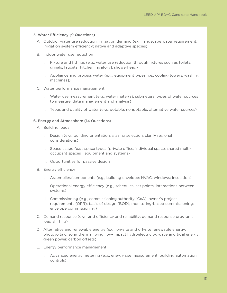#### 5. Water Efficiency (9 Questions)

- A. Outdoor water use reduction: irrigation demand (e.g., landscape water requirement; irrigation system efficiency; native and adaptive species)
- B. Indoor water use reduction
	- i. Fixture and fittings (e.g., water use reduction through fixtures such as toilets; urinals; faucets [kitchen, lavatory]; showerhead)
	- ii. Appliance and process water (e.g., equipment types [i.e., cooling towers, washing machines])
- C. Water performance management
	- i. Water use measurement (e.g., water meter(s); submeters; types of water sources to measure; data management and analysis)
	- ii. Types and quality of water (e.g., potable; nonpotable; alternative water sources)

#### 6. Energy and Atmosphere (14 Questions)

- A. Building loads
	- i. Design (e.g., building orientation; glazing selection; clarify regional considerations)
	- ii. Space usage (e.g., space types [private office, individual space, shared multioccupant spaces]; equipment and systems)
	- iii. Opportunities for passive design
- B. Energy efficiency
	- i. Assemblies/components (e.g., building envelope; HVAC; windows; insulation)
	- ii. Operational energy efficiency (e.g., schedules; set points; interactions between systems)
	- iii. Commissioning (e.g., commissioning authority (CxA); owner's project requirements (OPR); basis of design (BOD); monitoring-based commissioning; envelope commissioning)
- C. Demand response (e.g., grid efficiency and reliability; demand response programs; load shifting)
- D. Alternative and renewable energy (e.g., on-site and off-site renewable energy; photovoltaic; solar thermal; wind; low-impact hydroelectricity; wave and tidal energy; green power, carbon offsets)
- E. Energy performance management
	- i. Advanced energy metering (e.g., energy use measurement; building automation controls)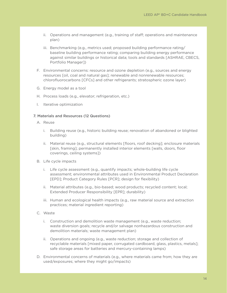- ii. Operations and management (e.g., training of staff; operations and maintenance plan)
- iii. Benchmarking (e.g., metrics used; proposed building performance rating/ baseline building performance rating; comparing building energy performance against similar buildings or historical data; tools and standards [ASHRAE, CBECS, Portfolio Manager])
- F. Environmental concerns: resource and ozone depletion (e.g., sources and energy resources [oil, coal and natural gas]; renewable and nonrenewable resources; chlorofluorocarbons [CFCs] and other refrigerants; stratospheric ozone layer)
- G. Energy model as a tool
- H. Process loads (e.g., elevator; refrigeration, etc.)
- I. Iterative optimization

### 7. Materials and Resources (12 Questions)

- A. Reuse
	- i. Building reuse (e.g., historic building reuse; renovation of abandoned or blighted building)
	- ii. Material reuse (e.g., structural elements [floors, roof decking]; enclosure materials [skin, framing]; permanently installed interior elements [walls, doors, floor coverings, ceiling systems])
- B. Life cycle impacts
	- i. Life cycle assessment (e.g., quantify impacts; whole-building life cycle assessment; environmental attributes used in Environmental Product Declaration [EPD]; Product Category Rules [PCR]; design for flexibility)
	- ii. Material attributes (e.g., bio-based; wood products; recycled content; local; Extended Producer Responsibility [EPR]; durability)
	- iii. Human and ecological health impacts (e.g., raw material source and extraction practices; material ingredient reporting)
- C. Waste
	- i. Construction and demolition waste management (e.g., waste reduction; waste diversion goals; recycle and/or salvage nonhazardous construction and demolition materials; waste management plan)
	- ii. Operations and ongoing (e.g., waste reduction; storage and collection of recyclable materials [mixed paper, corrugated cardboard, glass, plastics, metals]; safe storage areas for batteries and mercury-containing lamps)
- D. Environmental concerns of materials (e.g., where materials came from; how they are used/exposures; where they might go/impacts)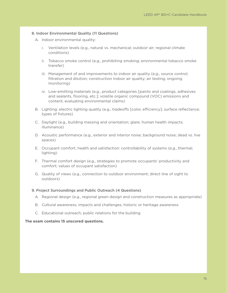### 8. Indoor Environmental Quality (11 Questions)

- A. Indoor environmental quality:
	- i. Ventilation levels (e.g., natural vs. mechanical; outdoor air; regional climate conditions)
	- ii. Tobacco smoke control (e.g., prohibiting smoking; environmental tobacco smoke transfer)
	- iii. Management of and improvements to indoor air quality (e.g., source control; filtration and dilution; construction indoor air quality; air testing; ongoing monitoring)
	- iv. Low-emitting materials (e.g., product categories [paints and coatings, adhesives and sealants, flooring, etc.]; volatile organic compound (VOC) emissions and content; evaluating environmental claims)
- B. Lighting: electric lighting quality (e.g., tradeoffs [color, efficiency]; surface reflectance; types of fixtures)
- C. Daylight (e.g., building massing and orientation; glare; human health impacts; illuminance)
- D. Acoustic performance (e.g., exterior and interior noise; background noise; dead vs. live spaces)
- E. Occupant comfort, health and satisfaction: controllability of systems (e.g., thermal; lighting)
- F. Thermal comfort design (e.g., strategies to promote occupants' productivity and comfort; values of occupant satisfaction)
- G. Quality of views (e.g., connection to outdoor environment; direct line of sight to outdoors)

#### 9. Project Surroundings and Public Outreach (4 Questions)

- A. Regional design (e.g., regional green design and construction measures as appropriate)
- B. Cultural awareness; impacts and challenges; historic or heritage awareness
- C. Educational outreach; public relations for the building

#### **The exam contains 15 unscored questions.**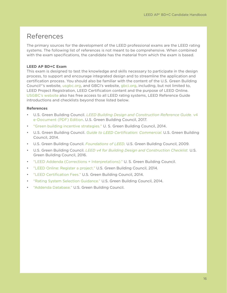### <span id="page-15-1"></span><span id="page-15-0"></span>References

The primary sources for the development of the LEED professional exams are the LEED rating systems. The following list of references is not meant to be comprehensive. When combined with the exam specifications, the candidate has the material from which the exam is based.

### **LEED AP BD+C Exam**

This exam is designed to test the knowledge and skills necessary to participate in the design process, to support and encourage integrated design and to streamline the application and certification process. You should also be familiar with the content of the U.S. Green Building Council®'s website, [usgbc.org,](http://usgbc.org) and GBCI's website, [gbci.org](http://gbci.org), including, but not limited to, LEED Project Registration, LEED Certification content and the purpose of LEED Online. [USGBC's website](http://usgbc.org) also has free access to all LEED rating systems, LEED Reference Guide introductions and checklists beyond those listed below.

### **References**

- U.S. Green Building Council. *[LEED Building Design and Construction Reference Guide.](https://www.usgbc.org/resources/leed-reference-guide-building-design-and-construction)* v4 [e-Document \(PDF\) Edition](https://www.usgbc.org/resources/leed-reference-guide-building-design-and-construction). U.S. Green Building Council, 2017.
- ["Green building incentive strategies."](http://www.usgbc.org/articles/good-know-green-building-incentive-strategies-0) U. S. Green Building Council, 2014.
- U.S. Green Building Council. *[Guide to LEED Certification: Commercial](http://www.usgbc.org/resources/guide-leed-certification-commerical)*. U.S. Green Building Council, 2014.
- U.S. Green Building Council. *[Foundations of LEED.](http://www.usgbc.org/resources/foundations-leed)* U.S. Green Building Council, 2009.
- U.S. Green Building Council. *[LEED v4 for Building Design and Construction Checklist.](http://www.usgbc.org/resources/leed-v4-building-design-and-construction-checklist)* U.S. Green Building Council, 2016.
- ["LEED Addenda \(Corrections + Interpretations\)."](http://www.usgbc.org/help-topic/addenda-(corrections-+-interpretations)) U. S. Green Building Council.
- ["LEED Online: Register a project."](https://www.usgbc.org/leedonline/) U.S. Green Building Council, 2014.
- ["LEED Certification Fees."](https://new.usgbc.org/cert-guide/fees) U.S. Green Building Council, 2014.
- ["Rating System Selection Guidance."](http://www.usgbc.org/resources/rating-system-selection-guidance) U.S. Green Building Council, 2014.
- ["Addenda Database."](http://www.usgbc.org/leed-interpretations) U.S. Green Building Council.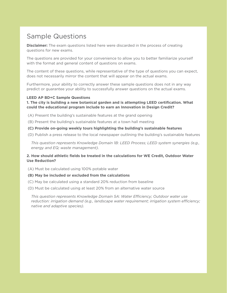## <span id="page-16-0"></span>Sample Questions

**Disclaimer:** The exam questions listed here were discarded in the process of creating questions for new exams.

The questions are provided for your convenience to allow you to better familiarize yourself with the format and general content of questions on exams.

The content of these questions, while representative of the type of questions you can expect, does not necessarily mirror the content that will appear on the actual exams.

Furthermore, your ability to correctly answer these sample questions does not in any way predict or guarantee your ability to successfully answer questions on the actual exams.

### **LEED AP BD+C Sample Questions**

### **1. The city is building a new botanical garden and is attempting LEED certification. What could the educational program include to earn an Innovation in Design Credit?**

(A) Present the building's sustainable features at the grand opening

(B) Present the building's sustainable features at a town hall meeting

### **(C) Provide on-going weekly tours highlighting the building's sustainable features**

(D) Publish a press release to the local newspaper outlining the building's sustainable features

*This question represents Knowledge Domain 1B: LEED Process; LEED system synergies (e.g., energy and EQ; waste management).* 

### **2. How should athletic fields be treated in the calculations for WE Credit, Outdoor Water Use Reduction?**

- (A) Must be calculated using 100% potable water
- **(B) May be included or excluded from the calculations**
- (C) May be calculated using a standard 20% reduction from baseline
- (D) Must be calculated using at least 20% from an alternative water source

*This question represents Knowledge Domain 5A: Water Efficiency; Outdoor water use reduction: irrigation demand (e.g., landscape water requirement; irrigation system efficiency; native and adaptive species).*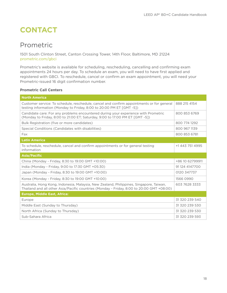## <span id="page-17-0"></span>**CONTACT**

## Prometric

1501 South Clinton Street, Canton Crossing Tower, 14th Floor, Baltimore, MD 21224 [prometric.com/gbci](http://www.prometric.com/gbci)

Prometric's website is available for scheduling, rescheduling, cancelling and confirming exam appointments 24 hours per day. To schedule an exam, you will need to have first applied and registered with GBCI. To reschedule, cancel or confirm an exam appointment, you will need your Prometric-issued 16 digit confirmation number.

### **Prometric Call Centers**

| <b>North America</b>                                                                                                                                                                 |                 |
|--------------------------------------------------------------------------------------------------------------------------------------------------------------------------------------|-----------------|
| Customer service: To schedule, reschedule, cancel and confirm appointments or for general<br>testing information (Monday to Friday, 8:00 to 20:00 PM ET [GMT -5])                    | 888 215 4154    |
| Candidate care: For any problems encountered during your experience with Prometric<br>(Monday to Friday, 8:00 to 21:00 ET; Saturday, 9:00 to 17:00 PM ET [GMT -5])                   | 800 853 6769    |
| Bulk Registration (five or more candidates)                                                                                                                                          | 800 774 1292    |
| Special Conditions (Candidates with disabilities)                                                                                                                                    | 800 967 1139    |
| Fax                                                                                                                                                                                  | 800 853 6781    |
| <b>Latin America</b>                                                                                                                                                                 |                 |
| To schedule, reschedule, cancel and confirm appointments or for general testing<br>information                                                                                       | +1 443 751 4995 |
| <b>Asia/Pacific</b>                                                                                                                                                                  |                 |
| China (Monday - Friday, 8:30 to 19:00 GMT +10:00)                                                                                                                                    | +86 10 62799911 |
| India (Monday - Friday, 9:00 to 17:30 GMT +05:30)                                                                                                                                    | 91 124 4147700  |
| Japan (Monday - Friday, 8:30 to 19:00 GMT +10:00)                                                                                                                                    | 0120 347737     |
| Korea (Monday - Friday, 8:30 to 19:00 GMT +10:00)                                                                                                                                    | 1566 0990       |
| Australia, Hong Kong, Indonesia, Malaysia, New Zealand, Philippines, Singapore, Taiwan,<br>Thailand and all other Asia/Pacific countries (Monday - Friday, 8:00 to 20:00 GMT +08:00) | 603 7628 3333   |
| <b>Europe, Middle East, Africa:</b>                                                                                                                                                  |                 |
| Europe                                                                                                                                                                               | 31 320 239 540  |
| Middle East (Sunday to Thursday)                                                                                                                                                     | 31 320 239 530  |
| North Africa (Sunday to Thursday)                                                                                                                                                    | 31 320 239 530  |
| Sub-Sahara Africa                                                                                                                                                                    | 31 320 239 593  |